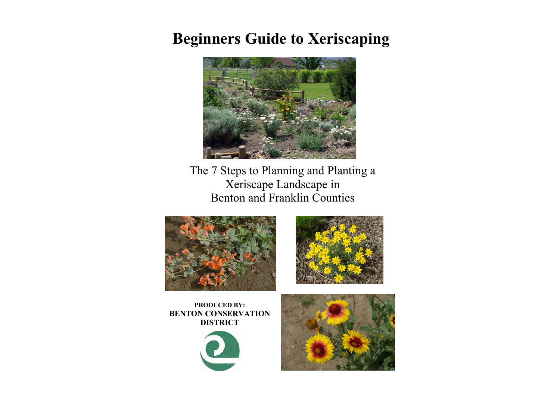# **Beginners Guide to Xeriscaping**



The 7 Steps to Planning and Planting a Xeriscape Landscape in Benton and Franklin Counties





**PRODUCED BY: BENTON CONSERVATION DISTRICT**



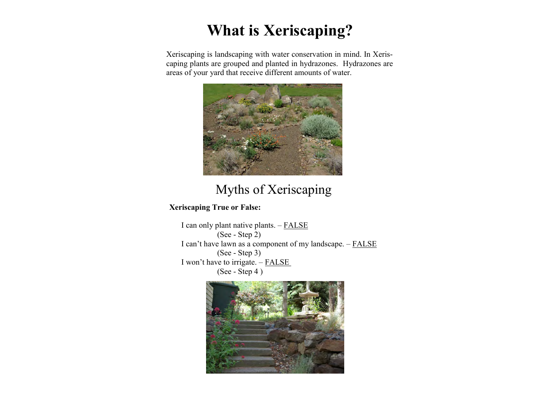# **What is Xeriscaping?**

Xeriscaping is landscaping with water conservation in mind. In Xeriscaping plants are grouped and planted in hydrazones. Hydrazones are areas of your yard that receive different amounts of water.



# Myths of Xeriscaping

**Xeriscaping True or False:**

I can only plant native plants. – FALSE (See - Step 2) I can't have lawn as a component of my landscape. – FALSE (See - Step 3) I won't have to irrigate. – FALSE (See - Step 4 )

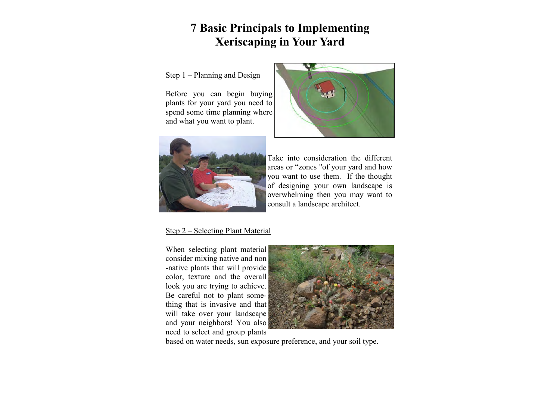# **7 Basic Principals to Implementing Xeriscaping in Your Yard**

## Step 1 – Planning and Design

Before you can begin buying plants for your yard you need to spend some time planning where and what you want to plant.





Take into consideration the different areas or "zones "of your yard and how you want to use them. If the thought of designing your own landscape is overwhelming then you may want to consult a landscape architect.

## Step 2 – Selecting Plant Material

When selecting plant material consider mixing native and non -native plants that will provide color, texture and the overall look you are trying to achieve. Be careful not to plant something that is invasive and that will take over your landscape and your neighbors! You also need to select and group plants



based on water needs, sun exposure preference, and your soil type.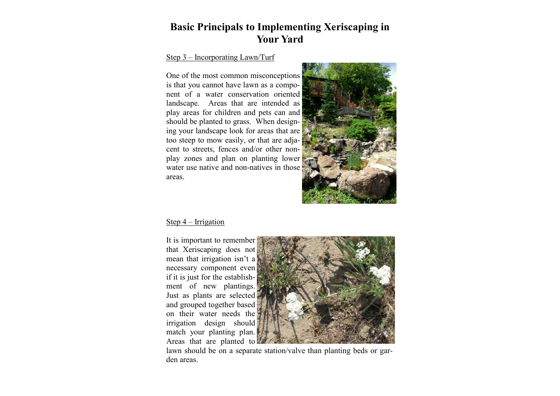# **Basic Principals to Implementing Xeriscaping in Your Yard**

## Step 3 – Incorporating Lawn/Turf

One of the most common misconceptions is that you cannot have lawn as a component of a water conservation oriented landscape. Areas that are intended as play areas for children and pets can and should be planted to grass. When designing your landscape look for areas that are too steep to mow easily, or that are adjacent to streets, fences and/or other nonplay zones and plan on planting lower water use native and non-natives in those areas.



### Step 4 – Irrigation

It is important to remember that Xeriscaping does not mean that irrigation isn't a necessary component even if it is just for the establishment of new plantings. Just as plants are selected and grouped together based on their water needs the irrigation design should match your planting plan. Areas that are planted to



lawn should be on a separate station/valve than planting beds or garden areas.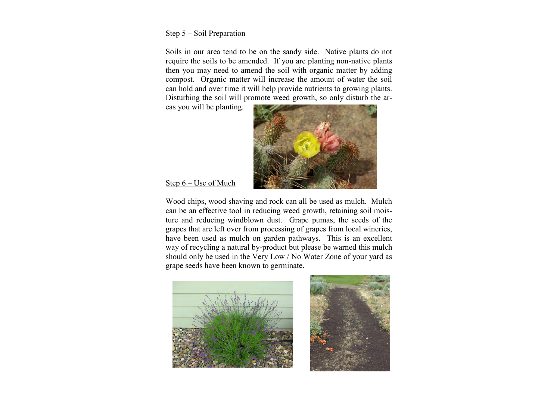### Step 5 – Soil Preparation

Soils in our area tend to be on the sandy side. Native plants do not require the soils to be amended. If you are planting non-native plants then you may need to amend the soil with organic matter by adding compost. Organic matter will increase the amount of water the soil can hold and over time it will help provide nutrients to growing plants. Disturbing the soil will promote weed growth, so only disturb the ar-

eas you will be planting.



Step 6 – Use of Much

Wood chips, wood shaving and rock can all be used as mulch. Mulch can be an effective tool in reducing weed growth, retaining soil moisture and reducing windblown dust. Grape pumas, the seeds of the grapes that are left over from processing of grapes from local wineries, have been used as mulch on garden pathways. This is an excellent way of recycling a natural by-product but please be warned this mulch should only be used in the Very Low / No Water Zone of your yard as grape seeds have been known to germinate.



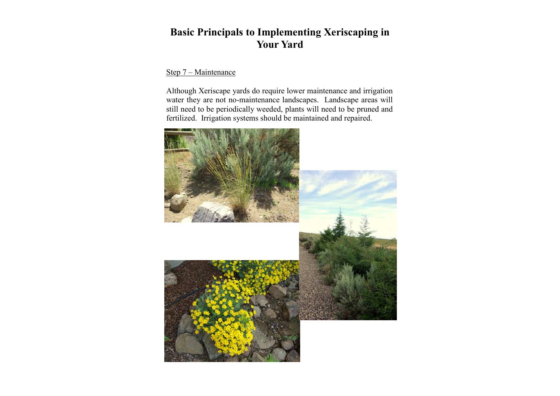# **Basic Principals to Implementing Xeriscaping in Your Yard**

## Step 7 – Maintenance

Although Xeriscape yards do require lower maintenance and irrigation water they are not no-maintenance landscapes. Landscape areas will still need to be periodically weeded, plants will need to be pruned and fertilized. Irrigation systems should be maintained and repaired.

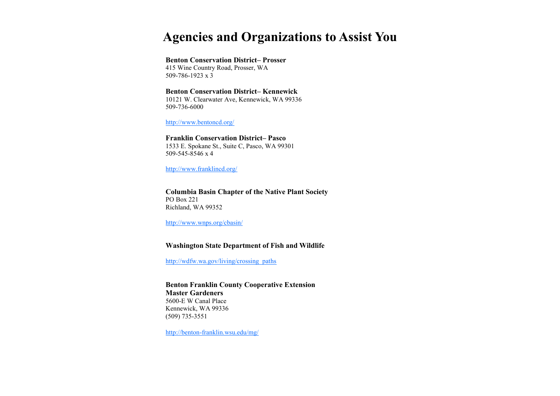# **Agencies and Organizations to Assist You**

#### **Benton Conservation District– Prosser**

415 Wine Country Road, Prosser, WA 509-786-1923 x 3

### **Benton Conservation District– Kennewick**

10121 W. Clearwater Ave, Kennewick, WA 99336 509-736-6000

<http://www.bentoncd.org/>

#### **Franklin Conservation District– Pasco**

1533 E. Spokane St., Suite C, Pasco, WA 99301 509-545-8546 x 4

<http://www.franklincd.org/>

#### **Columbia Basin Chapter of the Native Plant Society** PO Box 221 Richland, WA 99352

<http://www.wnps.org/cbasin/>

### **Washington State Department of Fish and Wildlife**

http://wdfw.wa.gov/living/crossing\_paths

**Benton Franklin County Cooperative Extension Master Gardeners** 5600-E W Canal Place Kennewick, WA 99336 (509) 735-3551

<http://benton-franklin.wsu.edu/mg/>